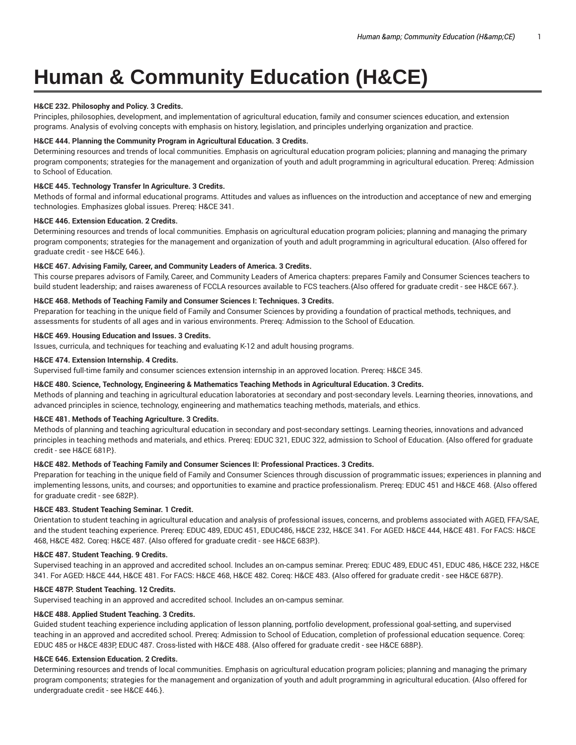# **Human & Community Education (H&CE)**

# **H&CE 232. Philosophy and Policy. 3 Credits.**

Principles, philosophies, development, and implementation of agricultural education, family and consumer sciences education, and extension programs. Analysis of evolving concepts with emphasis on history, legislation, and principles underlying organization and practice.

## **H&CE 444. Planning the Community Program in Agricultural Education. 3 Credits.**

Determining resources and trends of local communities. Emphasis on agricultural education program policies; planning and managing the primary program components; strategies for the management and organization of youth and adult programming in agricultural education. Prereq: Admission to School of Education.

# **H&CE 445. Technology Transfer In Agriculture. 3 Credits.**

Methods of formal and informal educational programs. Attitudes and values as influences on the introduction and acceptance of new and emerging technologies. Emphasizes global issues. Prereq: H&CE 341.

### **H&CE 446. Extension Education. 2 Credits.**

Determining resources and trends of local communities. Emphasis on agricultural education program policies; planning and managing the primary program components; strategies for the management and organization of youth and adult programming in agricultural education. {Also offered for graduate credit - see H&CE 646.}.

## **H&CE 467. Advising Family, Career, and Community Leaders of America. 3 Credits.**

This course prepares advisors of Family, Career, and Community Leaders of America chapters: prepares Family and Consumer Sciences teachers to build student leadership; and raises awareness of FCCLA resources available to FCS teachers.{Also offered for graduate credit - see H&CE 667.}.

# **H&CE 468. Methods of Teaching Family and Consumer Sciences I: Techniques. 3 Credits.**

Preparation for teaching in the unique field of Family and Consumer Sciences by providing a foundation of practical methods, techniques, and assessments for students of all ages and in various environments. Prereq: Admission to the School of Education.

# **H&CE 469. Housing Education and Issues. 3 Credits.**

Issues, curricula, and techniques for teaching and evaluating K-12 and adult housing programs.

## **H&CE 474. Extension Internship. 4 Credits.**

Supervised full-time family and consumer sciences extension internship in an approved location. Prereq: H&CE 345.

# **H&CE 480. Science, Technology, Engineering & Mathematics Teaching Methods in Agricultural Education. 3 Credits.**

Methods of planning and teaching in agricultural education laboratories at secondary and post-secondary levels. Learning theories, innovations, and advanced principles in science, technology, engineering and mathematics teaching methods, materials, and ethics.

# **H&CE 481. Methods of Teaching Agriculture. 3 Credits.**

Methods of planning and teaching agricultural education in secondary and post-secondary settings. Learning theories, innovations and advanced principles in teaching methods and materials, and ethics. Prereq: EDUC 321, EDUC 322, admission to School of Education. {Also offered for graduate credit - see H&CE 681P.}.

# **H&CE 482. Methods of Teaching Family and Consumer Sciences II: Professional Practices. 3 Credits.**

Preparation for teaching in the unique field of Family and Consumer Sciences through discussion of programmatic issues; experiences in planning and implementing lessons, units, and courses; and opportunities to examine and practice professionalism. Prereq: EDUC 451 and H&CE 468. {Also offered for graduate credit - see 682P.}.

#### **H&CE 483. Student Teaching Seminar. 1 Credit.**

Orientation to student teaching in agricultural education and analysis of professional issues, concerns, and problems associated with AGED, FFA/SAE, and the student teaching experience. Prereq: EDUC 489, EDUC 451, EDUC486, H&CE 232, H&CE 341. For AGED: H&CE 444, H&CE 481. For FACS: H&CE 468, H&CE 482. Coreq: H&CE 487. {Also offered for graduate credit - see H&CE 683P.}.

#### **H&CE 487. Student Teaching. 9 Credits.**

Supervised teaching in an approved and accredited school. Includes an on-campus seminar. Prereq: EDUC 489, EDUC 451, EDUC 486, H&CE 232, H&CE 341. For AGED: H&CE 444, H&CE 481. For FACS: H&CE 468, H&CE 482. Coreq: H&CE 483. {Also offered for graduate credit - see H&CE 687P.}.

## **H&CE 487P. Student Teaching. 12 Credits.**

Supervised teaching in an approved and accredited school. Includes an on-campus seminar.

# **H&CE 488. Applied Student Teaching. 3 Credits.**

Guided student teaching experience including application of lesson planning, portfolio development, professional goal-setting, and supervised teaching in an approved and accredited school. Prereq: Admission to School of Education, completion of professional education sequence. Coreq: EDUC 485 or H&CE 483P, EDUC 487. Cross-listed with H&CE 488. {Also offered for graduate credit - see H&CE 688P.}.

## **H&CE 646. Extension Education. 2 Credits.**

Determining resources and trends of local communities. Emphasis on agricultural education program policies; planning and managing the primary program components; strategies for the management and organization of youth and adult programming in agricultural education. {Also offered for undergraduate credit - see H&CE 446.}.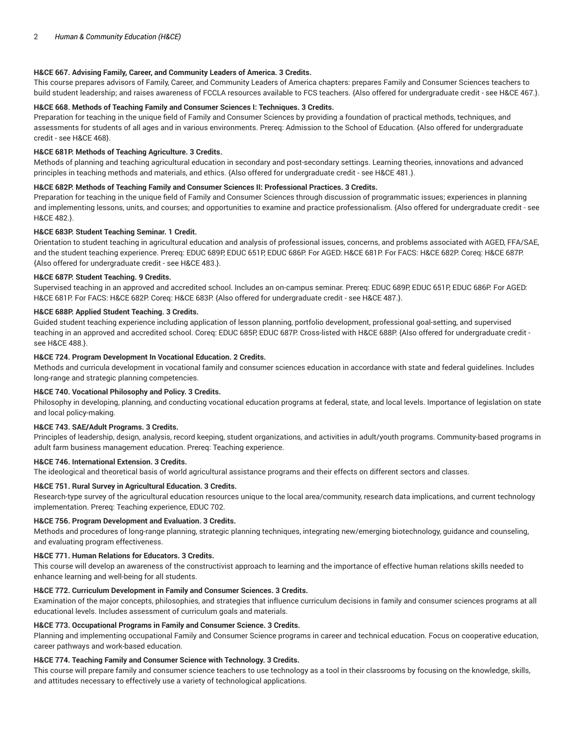# **H&CE 667. Advising Family, Career, and Community Leaders of America. 3 Credits.**

This course prepares advisors of Family, Career, and Community Leaders of America chapters: prepares Family and Consumer Sciences teachers to build student leadership; and raises awareness of FCCLA resources available to FCS teachers. {Also offered for undergraduate credit - see H&CE 467.}.

# **H&CE 668. Methods of Teaching Family and Consumer Sciences I: Techniques. 3 Credits.**

Preparation for teaching in the unique field of Family and Consumer Sciences by providing a foundation of practical methods, techniques, and assessments for students of all ages and in various environments. Prereq: Admission to the School of Education. {Also offered for undergraduate credit - see H&CE 468}.

## **H&CE 681P. Methods of Teaching Agriculture. 3 Credits.**

Methods of planning and teaching agricultural education in secondary and post-secondary settings. Learning theories, innovations and advanced principles in teaching methods and materials, and ethics. {Also offered for undergraduate credit - see H&CE 481.}.

# **H&CE 682P. Methods of Teaching Family and Consumer Sciences II: Professional Practices. 3 Credits.**

Preparation for teaching in the unique field of Family and Consumer Sciences through discussion of programmatic issues; experiences in planning and implementing lessons, units, and courses; and opportunities to examine and practice professionalism. {Also offered for undergraduate credit - see H&CE 482.}.

### **H&CE 683P. Student Teaching Seminar. 1 Credit.**

Orientation to student teaching in agricultural education and analysis of professional issues, concerns, and problems associated with AGED, FFA/SAE, and the student teaching experience. Prereq: EDUC 689P, EDUC 651P, EDUC 686P. For AGED: H&CE 681P. For FACS: H&CE 682P. Coreq: H&CE 687P. {Also offered for undergraduate credit - see H&CE 483.}.

### **H&CE 687P. Student Teaching. 9 Credits.**

Supervised teaching in an approved and accredited school. Includes an on-campus seminar. Prereq: EDUC 689P, EDUC 651P, EDUC 686P. For AGED: H&CE 681P. For FACS: H&CE 682P. Coreq: H&CE 683P. {Also offered for undergraduate credit - see H&CE 487.}.

### **H&CE 688P. Applied Student Teaching. 3 Credits.**

Guided student teaching experience including application of lesson planning, portfolio development, professional goal-setting, and supervised teaching in an approved and accredited school. Coreq: EDUC 685P, EDUC 687P. Cross-listed with H&CE 688P. {Also offered for undergraduate credit see H&CE 488.}.

### **H&CE 724. Program Development In Vocational Education. 2 Credits.**

Methods and curricula development in vocational family and consumer sciences education in accordance with state and federal guidelines. Includes long-range and strategic planning competencies.

# **H&CE 740. Vocational Philosophy and Policy. 3 Credits.**

Philosophy in developing, planning, and conducting vocational education programs at federal, state, and local levels. Importance of legislation on state and local policy-making.

# **H&CE 743. SAE/Adult Programs. 3 Credits.**

Principles of leadership, design, analysis, record keeping, student organizations, and activities in adult/youth programs. Community-based programs in adult farm business management education. Prereq: Teaching experience.

## **H&CE 746. International Extension. 3 Credits.**

The ideological and theoretical basis of world agricultural assistance programs and their effects on different sectors and classes.

## **H&CE 751. Rural Survey in Agricultural Education. 3 Credits.**

Research-type survey of the agricultural education resources unique to the local area/community, research data implications, and current technology implementation. Prereq: Teaching experience, EDUC 702.

#### **H&CE 756. Program Development and Evaluation. 3 Credits.**

Methods and procedures of long-range planning, strategic planning techniques, integrating new/emerging biotechnology, guidance and counseling, and evaluating program effectiveness.

#### **H&CE 771. Human Relations for Educators. 3 Credits.**

This course will develop an awareness of the constructivist approach to learning and the importance of effective human relations skills needed to enhance learning and well-being for all students.

# **H&CE 772. Curriculum Development in Family and Consumer Sciences. 3 Credits.**

Examination of the major concepts, philosophies, and strategies that influence curriculum decisions in family and consumer sciences programs at all educational levels. Includes assessment of curriculum goals and materials.

## **H&CE 773. Occupational Programs in Family and Consumer Science. 3 Credits.**

Planning and implementing occupational Family and Consumer Science programs in career and technical education. Focus on cooperative education, career pathways and work-based education.

# **H&CE 774. Teaching Family and Consumer Science with Technology. 3 Credits.**

This course will prepare family and consumer science teachers to use technology as a tool in their classrooms by focusing on the knowledge, skills, and attitudes necessary to effectively use a variety of technological applications.